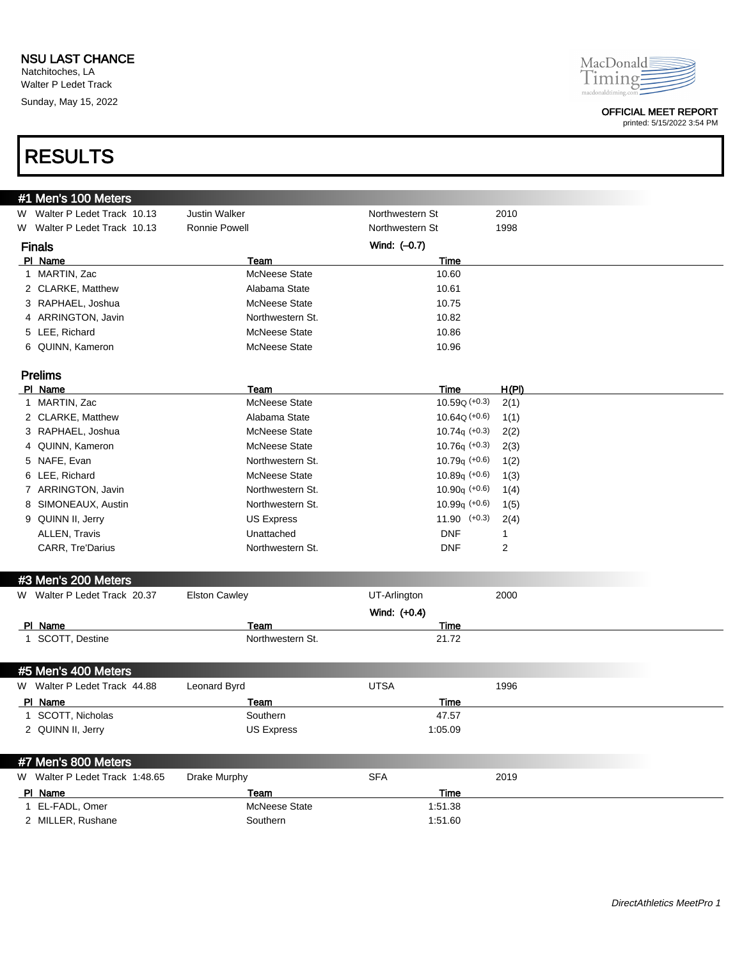### NSU LAST CHANCE

Natchitoches, LA Walter P Ledet Track Sunday, May 15, 2022



### OFFICIAL MEET REPORT

printed: 5/15/2022 3:54 PM

# RESULTS

| #1 Men's 100 Meters            |                      |                  |       |
|--------------------------------|----------------------|------------------|-------|
| W Walter P Ledet Track 10.13   | <b>Justin Walker</b> | Northwestern St  | 2010  |
| W Walter P Ledet Track 10.13   | <b>Ronnie Powell</b> | Northwestern St  | 1998  |
| <b>Finals</b>                  |                      | Wind: (-0.7)     |       |
| PI Name                        | Team                 | Time             |       |
| 1 MARTIN, Zac                  | McNeese State        | 10.60            |       |
| 2 CLARKE, Matthew              | Alabama State        | 10.61            |       |
| 3 RAPHAEL, Joshua              | <b>McNeese State</b> | 10.75            |       |
| 4 ARRINGTON, Javin             | Northwestern St.     | 10.82            |       |
| 5 LEE, Richard                 | <b>McNeese State</b> | 10.86            |       |
| 6 QUINN, Kameron               | <b>McNeese State</b> | 10.96            |       |
|                                |                      |                  |       |
| <b>Prelims</b>                 |                      |                  |       |
| PI Name                        | Team                 | Time             | H(PI) |
| 1 MARTIN, Zac                  | <b>McNeese State</b> | $10.59Q (+0.3)$  | 2(1)  |
| 2 CLARKE, Matthew              | Alabama State        | $10.64Q (+0.6)$  | 1(1)  |
| 3 RAPHAEL, Joshua              | <b>McNeese State</b> | $10.74q (+0.3)$  | 2(2)  |
| 4 QUINN, Kameron               | <b>McNeese State</b> | $10.76q (+0.3)$  | 2(3)  |
| 5 NAFE, Evan                   | Northwestern St.     | $10.79q (+0.6)$  | 1(2)  |
| 6 LEE, Richard                 | <b>McNeese State</b> | $10.89q (+0.6)$  | 1(3)  |
| 7 ARRINGTON, Javin             | Northwestern St.     | $10.90q (+0.6)$  | 1(4)  |
| 8 SIMONEAUX, Austin            | Northwestern St.     | $10.99q$ (+0.6)  | 1(5)  |
| 9 QUINN II, Jerry              | <b>US Express</b>    | $11.90$ $(+0.3)$ | 2(4)  |
| ALLEN, Travis                  | Unattached           | <b>DNF</b>       | 1     |
| CARR, Tre'Darius               | Northwestern St.     | <b>DNF</b>       | 2     |
|                                |                      |                  |       |
| #3 Men's 200 Meters            |                      |                  |       |
| W Walter P Ledet Track 20.37   | <b>Elston Cawley</b> | UT-Arlington     | 2000  |
|                                |                      | Wind: (+0.4)     |       |
| PI Name                        | Team                 | Time             |       |
| 1 SCOTT, Destine               | Northwestern St.     | 21.72            |       |
|                                |                      |                  |       |
| #5 Men's 400 Meters            |                      |                  |       |
| W Walter P Ledet Track 44.88   | Leonard Byrd         | <b>UTSA</b>      | 1996  |
| PI Name                        | Team                 | Time             |       |
| 1 SCOTT, Nicholas              | Southern             | 47.57            |       |
| 2 QUINN II, Jerry              | <b>US Express</b>    | 1:05.09          |       |
|                                |                      |                  |       |
| #7 Men's 800 Meters            |                      |                  |       |
| W Walter P Ledet Track 1:48.65 | Drake Murphy         | <b>SFA</b>       | 2019  |
| PI_Name                        | Team                 | <b>Time</b>      |       |
| 1 EL-FADL, Omer                | McNeese State        | 1:51.38          |       |
| 2 MILLER, Rushane              | Southern             | 1:51.60          |       |
|                                |                      |                  |       |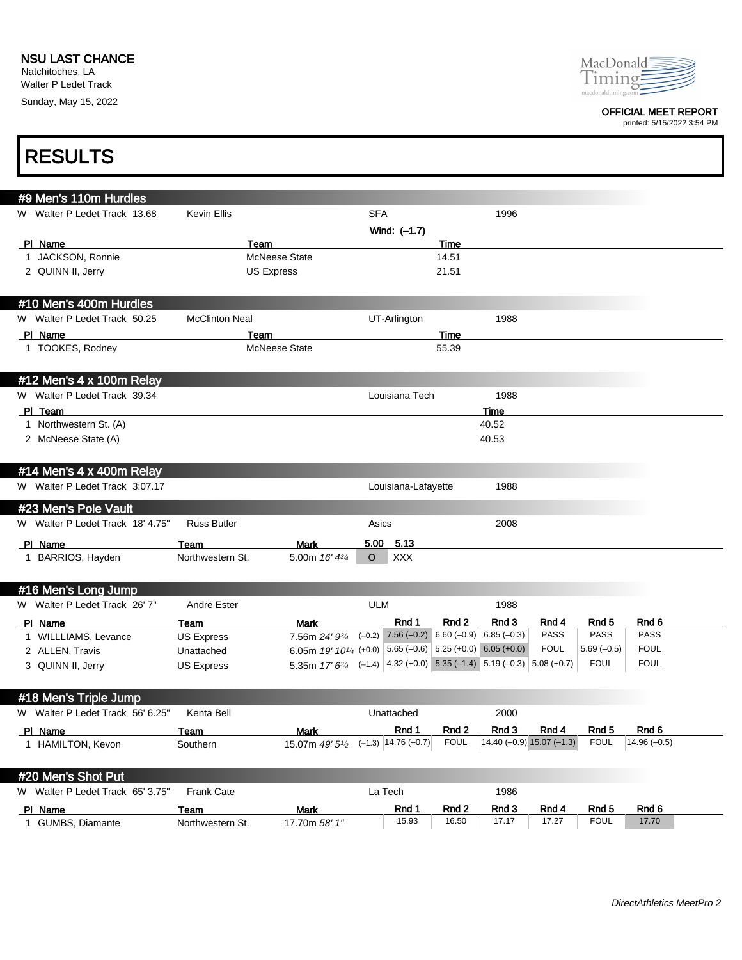Natchitoches, LA Walter P Ledet Track Sunday, May 15, 2022



### OFFICIAL MEET REPORT

printed: 5/15/2022 3:54 PM

1

| <b>RESULTS</b>                   |                       |                                                                            |            |                         |             |                                                    |             |                  |               |  |
|----------------------------------|-----------------------|----------------------------------------------------------------------------|------------|-------------------------|-------------|----------------------------------------------------|-------------|------------------|---------------|--|
| #9 Men's 110m Hurdles            |                       |                                                                            |            |                         |             |                                                    |             |                  |               |  |
| W Walter P Ledet Track 13.68     | <b>Kevin Ellis</b>    |                                                                            | <b>SFA</b> |                         |             | 1996                                               |             |                  |               |  |
|                                  |                       |                                                                            |            | Wind: (-1.7)            |             |                                                    |             |                  |               |  |
| PI Name                          |                       | Team                                                                       |            |                         | Time        |                                                    |             |                  |               |  |
| 1 JACKSON, Ronnie                |                       | <b>McNeese State</b>                                                       |            |                         | 14.51       |                                                    |             |                  |               |  |
| 2 QUINN II, Jerry                |                       | <b>US Express</b>                                                          |            |                         | 21.51       |                                                    |             |                  |               |  |
| #10 Men's 400m Hurdles           |                       |                                                                            |            |                         |             |                                                    |             |                  |               |  |
| W Walter P Ledet Track 50.25     | <b>McClinton Neal</b> |                                                                            |            | UT-Arlington            |             | 1988                                               |             |                  |               |  |
| PI Name                          |                       | Team                                                                       |            |                         | Time        |                                                    |             |                  |               |  |
| 1 TOOKES, Rodney                 |                       | <b>McNeese State</b>                                                       |            |                         | 55.39       |                                                    |             |                  |               |  |
| #12 Men's 4 x 100m Relay         |                       |                                                                            |            |                         |             |                                                    |             |                  |               |  |
| W Walter P Ledet Track 39.34     |                       |                                                                            |            | Louisiana Tech          |             | 1988                                               |             |                  |               |  |
| PI Team                          |                       |                                                                            |            |                         |             | Time                                               |             |                  |               |  |
| 1 Northwestern St. (A)           |                       |                                                                            |            |                         |             | 40.52                                              |             |                  |               |  |
| 2 McNeese State (A)              |                       |                                                                            |            |                         |             | 40.53                                              |             |                  |               |  |
| #14 Men's 4 x 400m Relay         |                       |                                                                            |            |                         |             |                                                    |             |                  |               |  |
| W Walter P Ledet Track 3:07.17   |                       |                                                                            |            | Louisiana-Lafayette     |             | 1988                                               |             |                  |               |  |
| #23 Men's Pole Vault             |                       |                                                                            |            |                         |             |                                                    |             |                  |               |  |
| W Walter P Ledet Track 18' 4.75" | <b>Russ Butler</b>    |                                                                            | Asics      |                         |             | 2008                                               |             |                  |               |  |
| PI_Name                          | Team                  | <b>Mark</b>                                                                |            | 5.00 5.13               |             |                                                    |             |                  |               |  |
| 1 BARRIOS, Hayden                | Northwestern St.      | 5.00m $16' 4^{3/4}$                                                        | $\circ$    | XXX                     |             |                                                    |             |                  |               |  |
| #16 Men's Long Jump              |                       |                                                                            |            |                         |             |                                                    |             |                  |               |  |
| W Walter P Ledet Track 26' 7"    | <b>Andre Ester</b>    |                                                                            | <b>ULM</b> |                         |             | 1988                                               |             |                  |               |  |
| PI Name                          | Team                  | Mark                                                                       |            | Rnd 1                   | Rnd 2       | Rnd 3                                              | Rnd 4       | Rnd 5            | Rnd 6         |  |
| 1 WILLLIAMS, Levance             | <b>US Express</b>     | 7.56m 24' 93/4                                                             |            |                         |             | $(-0.2)$ 7.56 $(-0.2)$ 6.60 $(-0.9)$ 6.85 $(-0.3)$ | <b>PASS</b> | <b>PASS</b>      | <b>PASS</b>   |  |
| 2 ALLEN, Travis                  | Unattached            | 6.05m 19' 10 <sup>1/4</sup> (+0.0) 5.65 (-0.6) 5.25 (+0.0) 6.05 (+0.0)     |            |                         |             |                                                    | <b>FOUL</b> | $5.69(-0.5)$     | <b>FOUL</b>   |  |
| 3 QUINN II, Jerry                | <b>US Express</b>     | 5.35m $17' 6^{3/4}$ (-1.4) 4.32 (+0.0) 5.35 (-1.4) 5.19 (-0.3) 5.08 (+0.7) |            |                         |             |                                                    |             | <b>FOUL</b>      | <b>FOUL</b>   |  |
| #18 Men's Triple Jump            |                       |                                                                            |            |                         |             |                                                    |             |                  |               |  |
| W Walter P Ledet Track 56' 6.25" | Kenta Bell            |                                                                            |            | Unattached              |             | 2000                                               |             |                  |               |  |
| PI Name                          | <b>Team</b>           | <b>Mark</b>                                                                |            | Rnd 1                   | Rnd 2       | Rnd 3                                              | Rnd 4       | Rnd <sub>5</sub> | Rnd 6         |  |
| 1 HAMILTON, Kevon                | Southern              | 15.07m 49' 51/2                                                            |            | $(-1.3)$ 14.76 $(-0.7)$ | <b>FOUL</b> | $14.40 (-0.9) 15.07 (-1.3)$                        |             | <b>FOUL</b>      | $14.96(-0.5)$ |  |
| #20 Men's Shot Put               |                       |                                                                            |            |                         |             |                                                    |             |                  |               |  |
| W Walter P Ledet Track 65' 3.75" | Frank Cate            |                                                                            |            | La Tech                 |             | 1986                                               |             |                  |               |  |
| PI Name                          | <b>Team</b>           | <b>Mark</b>                                                                |            | Rnd 1                   | Rnd 2       | Rnd 3                                              | Rnd 4       | Rnd 5            | Rnd 6         |  |
| 1 GUMBS, Diamante                | Northwestern St.      | 17.70m 58' 1"                                                              |            | 15.93                   | 16.50       | 17.17                                              | 17.27       | <b>FOUL</b>      | 17.70         |  |
|                                  |                       |                                                                            |            |                         |             |                                                    |             |                  |               |  |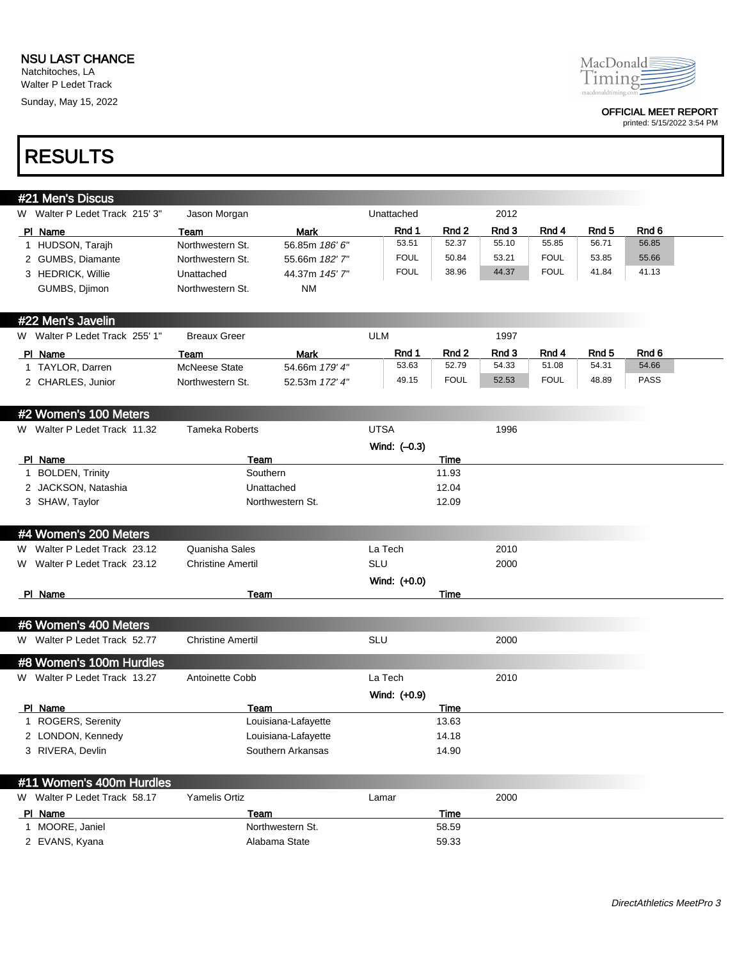Walter P Ledet Track Sunday, May 15, 2022



#### OFFICIAL MEET REPORT

printed: 5/15/2022 3:54 PM

## RESULTS

| #21 Men's Discus                      |                              |                                  |                |                |                |                |                           |                  |
|---------------------------------------|------------------------------|----------------------------------|----------------|----------------|----------------|----------------|---------------------------|------------------|
| W Walter P Ledet Track 215' 3"        | Jason Morgan                 |                                  | Unattached     |                | 2012           |                |                           |                  |
| PI Name                               | Team                         | <b>Mark</b>                      | Rnd 1          | Rnd 2          | Rnd 3          | Rnd 4          | Rnd 5                     | Rnd <sub>6</sub> |
| 1 HUDSON, Tarajh                      | Northwestern St.             | 56.85m 186' 6"                   | 53.51          | 52.37          | 55.10          | 55.85          | 56.71                     | 56.85            |
| 2 GUMBS, Diamante                     | Northwestern St.             | 55.66m 182' 7"                   | <b>FOUL</b>    | 50.84          | 53.21          | <b>FOUL</b>    | 53.85                     | 55.66            |
| 3 HEDRICK, Willie                     | Unattached                   | 44.37m 145'7"                    | <b>FOUL</b>    | 38.96          | 44.37          | <b>FOUL</b>    | 41.84                     | 41.13            |
| GUMBS, Djimon                         | Northwestern St.             | <b>NM</b>                        |                |                |                |                |                           |                  |
|                                       |                              |                                  |                |                |                |                |                           |                  |
| #22 Men's Javelin                     |                              |                                  |                |                |                |                |                           |                  |
| W Walter P Ledet Track 255' 1"        | <b>Breaux Greer</b>          |                                  | <b>ULM</b>     |                | 1997           |                |                           |                  |
| PI Name                               | Team<br><b>McNeese State</b> | Mark                             | Rnd 1<br>53.63 | Rnd 2<br>52.79 | Rnd 3<br>54.33 | Rnd 4<br>51.08 | Rnd <sub>5</sub><br>54.31 | Rnd 6<br>54.66   |
| 1 TAYLOR, Darren<br>2 CHARLES, Junior | Northwestern St.             | 54.66m 179' 4"<br>52.53m 172' 4" | 49.15          | <b>FOUL</b>    | 52.53          | <b>FOUL</b>    | 48.89                     | <b>PASS</b>      |
|                                       |                              |                                  |                |                |                |                |                           |                  |
| #2 Women's 100 Meters                 |                              |                                  |                |                |                |                |                           |                  |
| W Walter P Ledet Track 11.32          | <b>Tameka Roberts</b>        |                                  | <b>UTSA</b>    |                | 1996           |                |                           |                  |
|                                       |                              |                                  | Wind: (-0.3)   |                |                |                |                           |                  |
| PI Name                               | Team                         |                                  |                | Time           |                |                |                           |                  |
| 1 BOLDEN, Trinity                     |                              | Southern                         |                | 11.93          |                |                |                           |                  |
| 2 JACKSON, Natashia                   |                              | Unattached                       |                | 12.04          |                |                |                           |                  |
| 3 SHAW, Taylor                        |                              | Northwestern St.                 |                | 12.09          |                |                |                           |                  |
|                                       |                              |                                  |                |                |                |                |                           |                  |
| #4 Women's 200 Meters                 |                              |                                  |                |                |                |                |                           |                  |
| W Walter P Ledet Track 23.12          | Quanisha Sales               |                                  | La Tech        |                | 2010           |                |                           |                  |
| W Walter P Ledet Track 23.12          | <b>Christine Amertil</b>     |                                  | <b>SLU</b>     |                | 2000           |                |                           |                  |
|                                       |                              |                                  | Wind: (+0.0)   |                |                |                |                           |                  |
| PI Name                               | Team                         |                                  |                | Time           |                |                |                           |                  |
| #6 Women's 400 Meters                 |                              |                                  |                |                |                |                |                           |                  |
| W Walter P Ledet Track 52.77          | <b>Christine Amertil</b>     |                                  | <b>SLU</b>     |                | 2000           |                |                           |                  |
| #8 Women's 100m Hurdles               |                              |                                  |                |                |                |                |                           |                  |
| W Walter P Ledet Track 13.27          | Antoinette Cobb              |                                  | La Tech        |                | 2010           |                |                           |                  |
|                                       |                              |                                  | Wind: (+0.9)   |                |                |                |                           |                  |
| PI Name                               | Team                         |                                  |                | Time           |                |                |                           |                  |
| 1 ROGERS, Serenity                    |                              | Louisiana-Lafayette              |                | 13.63          |                |                |                           |                  |
| 2 LONDON, Kennedy                     |                              | Louisiana-Lafayette              |                | 14.18          |                |                |                           |                  |
| 3 RIVERA, Devlin                      |                              | Southern Arkansas                |                | 14.90          |                |                |                           |                  |
|                                       |                              |                                  |                |                |                |                |                           |                  |
| #11 Women's 400m Hurdles              |                              |                                  |                |                |                |                |                           |                  |
| W Walter P Ledet Track 58.17          | <b>Yamelis Ortiz</b>         |                                  | Lamar          |                | 2000           |                |                           |                  |
| PI Name                               | Team                         |                                  |                | Time           |                |                |                           |                  |
| 1 MOORE, Janiel                       |                              | Northwestern St.                 |                | 58.59          |                |                |                           |                  |
| 2 EVANS, Kyana                        |                              | Alabama State                    |                | 59.33          |                |                |                           |                  |